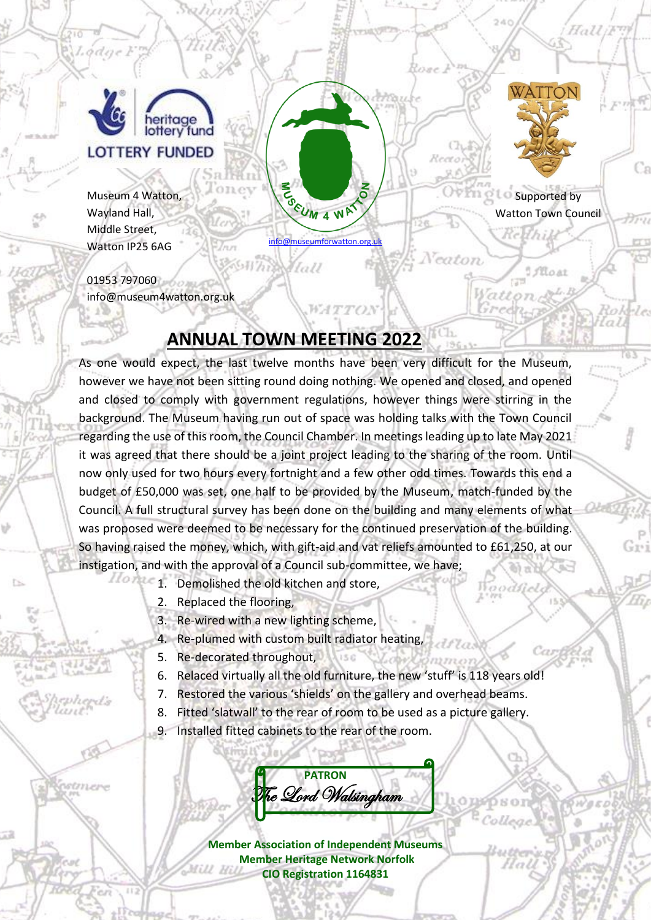

Lodae

pstmere

Museum 4 Watton, Wayland Hall, Middle Street, Watton IP25 6AG

01953 797060 info@museum4watton.org.uk

## **ANNUAL TOWN MEETING 2022**

As one would expect, the last twelve months have been very difficult for the Museum, however we have not been sitting round doing nothing. We opened and closed, and opened and closed to comply with government regulations, however things were stirring in the background. The Museum having run out of space was holding talks with the Town Council regarding the use of this room, the Council Chamber. In meetings leading up to late May 2021 it was agreed that there should be a joint project leading to the sharing of the room. Until now only used for two hours every fortnight and a few other odd times. Towards this end a budget of £50,000 was set, one half to be provided by the Museum, match-funded by the Council. A full structural survey has been done on the building and many elements of what was proposed were deemed to be necessary for the continued preservation of the building. So having raised the money, which, with gift-aid and vat reliefs amounted to £61,250, at our instigation, and with the approval of a Council sub-committee, we have;

[info@museumforwatton.org.uk](mailto:info@museumforwatton.org.uk)

**WATTON** 

fall

SEUM 4 WAT

**Supported by** Watton Town Council

*J'iloat* 

Veaton

WATTON

Halli<sup>ym</sup>

∵n

- 1. Demolished the old kitchen and store,
	- 2. Replaced the flooring,
	- 3. Re-wired with a new lighting scheme,
	- 4. Re-plumed with custom built radiator heating,
	- 5. Re-decorated throughout,
	- 6. Relaced virtually all the old furniture, the new 'stuff' is 118 years old!
	- 7. Restored the various 'shields' on the gallery and overhead beams.
	- 8. Fitted 'slatwall' to the rear of room to be used as a picture gallery.
	- 9. Installed fitted cabinets to the rear of the room.

**PATRON**  $\tilde{\mathcal{I}}_{e}$  Qord Walsingham

**Member Association of Independent Museums Member Heritage Network Norfolk CIO Registration 1164831**